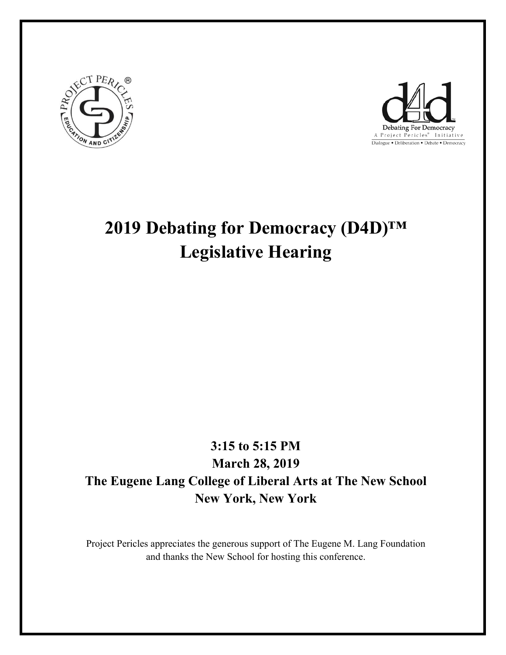



# **2019 Debating for Democracy (D4D)™ Legislative Hearing**

# **3:15 to 5:15 PM March 28, 2019 The Eugene Lang College of Liberal Arts at The New School New York, New York**

Project Pericles appreciates the generous support of The Eugene M. Lang Foundation and thanks the New School for hosting this conference.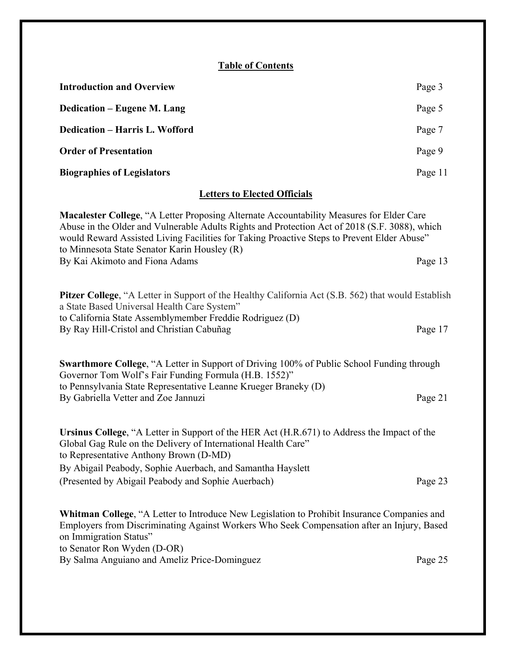### **Table of Contents**

| <b>Introduction and Overview</b>                                                                                                                                                                                                                                                                                                        | Page 3  |  |
|-----------------------------------------------------------------------------------------------------------------------------------------------------------------------------------------------------------------------------------------------------------------------------------------------------------------------------------------|---------|--|
| <b>Dedication - Eugene M. Lang</b>                                                                                                                                                                                                                                                                                                      | Page 5  |  |
| <b>Dedication - Harris L. Wofford</b>                                                                                                                                                                                                                                                                                                   | Page 7  |  |
| <b>Order of Presentation</b>                                                                                                                                                                                                                                                                                                            | Page 9  |  |
| <b>Biographies of Legislators</b>                                                                                                                                                                                                                                                                                                       | Page 11 |  |
| <b>Letters to Elected Officials</b>                                                                                                                                                                                                                                                                                                     |         |  |
| Macalester College, "A Letter Proposing Alternate Accountability Measures for Elder Care<br>Abuse in the Older and Vulnerable Adults Rights and Protection Act of 2018 (S.F. 3088), which<br>would Reward Assisted Living Facilities for Taking Proactive Steps to Prevent Elder Abuse"<br>to Minnesota State Senator Karin Housley (R) |         |  |
| By Kai Akimoto and Fiona Adams                                                                                                                                                                                                                                                                                                          | Page 13 |  |
| <b>Pitzer College, "A Letter in Support of the Healthy California Act (S.B. 562) that would Establish</b><br>a State Based Universal Health Care System"<br>to California State Assemblymember Freddie Rodriguez (D)                                                                                                                    |         |  |
| By Ray Hill-Cristol and Christian Cabuñag                                                                                                                                                                                                                                                                                               | Page 17 |  |
| <b>Swarthmore College, "A Letter in Support of Driving 100% of Public School Funding through</b><br>Governor Tom Wolf's Fair Funding Formula (H.B. 1552)"                                                                                                                                                                               |         |  |
| to Pennsylvania State Representative Leanne Krueger Braneky (D)<br>By Gabriella Vetter and Zoe Jannuzi                                                                                                                                                                                                                                  | Page 21 |  |
| Ursinus College, "A Letter in Support of the HER Act (H.R.671) to Address the Impact of the<br>Global Gag Rule on the Delivery of International Health Care"<br>to Democratize Anthony Drawn $(D$ MD)                                                                                                                                   |         |  |

to Representative Anthony Brown (D-MD) By Abigail Peabody, Sophie Auerbach, and Samantha Hayslett (Presented by Abigail Peabody and Sophie Auerbach) Page 23

**Whitman College**, "A Letter to Introduce New Legislation to Prohibit Insurance Companies and Employers from Discriminating Against Workers Who Seek Compensation after an Injury, Based on Immigration Status" to Senator Ron Wyden (D-OR) By Salma Anguiano and Ameliz Price-Dominguez *Page 25*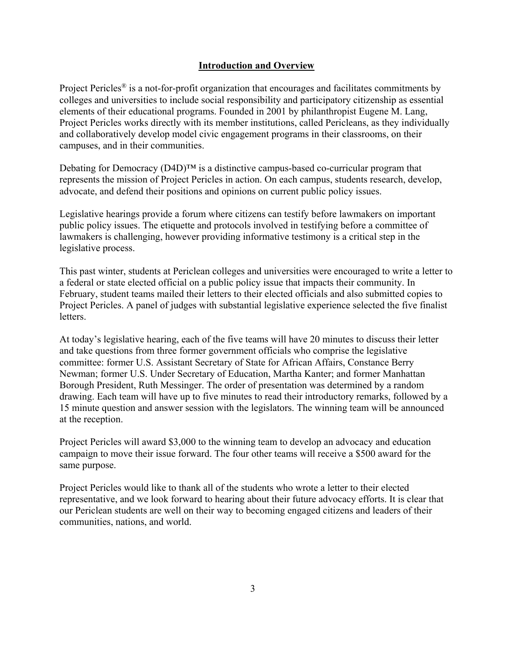#### **Introduction and Overview**

Project Pericles<sup>®</sup> is a not-for-profit organization that encourages and facilitates commitments by colleges and universities to include social responsibility and participatory citizenship as essential elements of their educational programs. Founded in 2001 by philanthropist Eugene M. Lang, Project Pericles works directly with its member institutions, called Pericleans, as they individually and collaboratively develop model civic engagement programs in their classrooms, on their campuses, and in their communities.

Debating for Democracy  $(D4D)^{TM}$  is a distinctive campus-based co-curricular program that represents the mission of Project Pericles in action. On each campus, students research, develop, advocate, and defend their positions and opinions on current public policy issues.

Legislative hearings provide a forum where citizens can testify before lawmakers on important public policy issues. The etiquette and protocols involved in testifying before a committee of lawmakers is challenging, however providing informative testimony is a critical step in the legislative process.

This past winter, students at Periclean colleges and universities were encouraged to write a letter to a federal or state elected official on a public policy issue that impacts their community. In February, student teams mailed their letters to their elected officials and also submitted copies to Project Pericles. A panel of judges with substantial legislative experience selected the five finalist letters.

At today's legislative hearing, each of the five teams will have 20 minutes to discuss their letter and take questions from three former government officials who comprise the legislative committee: former U.S. Assistant Secretary of State for African Affairs, Constance Berry Newman; former U.S. Under Secretary of Education, Martha Kanter; and former Manhattan Borough President, Ruth Messinger. The order of presentation was determined by a random drawing. Each team will have up to five minutes to read their introductory remarks, followed by a 15 minute question and answer session with the legislators. The winning team will be announced at the reception.

Project Pericles will award \$3,000 to the winning team to develop an advocacy and education campaign to move their issue forward. The four other teams will receive a \$500 award for the same purpose.

Project Pericles would like to thank all of the students who wrote a letter to their elected representative, and we look forward to hearing about their future advocacy efforts. It is clear that our Periclean students are well on their way to becoming engaged citizens and leaders of their communities, nations, and world.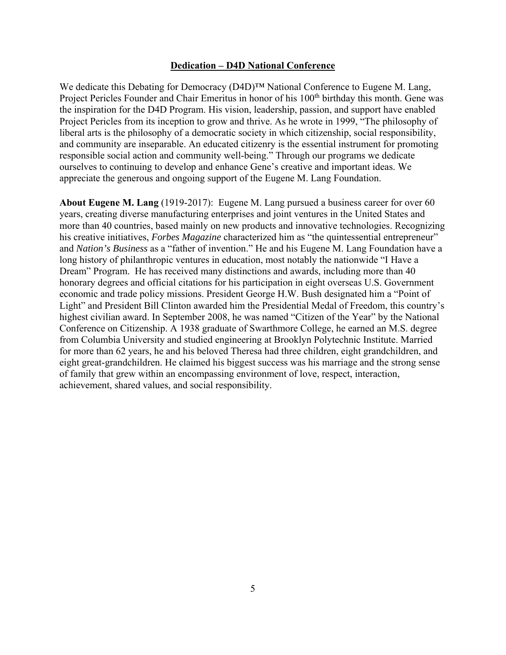#### **Dedication – D4D National Conference**

We dedicate this Debating for Democracy (D4D)™ National Conference to Eugene M. Lang, Project Pericles Founder and Chair Emeritus in honor of his 100<sup>th</sup> birthday this month. Gene was the inspiration for the D4D Program. His vision, leadership, passion, and support have enabled Project Pericles from its inception to grow and thrive. As he wrote in 1999, "The philosophy of liberal arts is the philosophy of a democratic society in which citizenship, social responsibility, and community are inseparable. An educated citizenry is the essential instrument for promoting responsible social action and community well-being." Through our programs we dedicate ourselves to continuing to develop and enhance Gene's creative and important ideas. We appreciate the generous and ongoing support of the Eugene M. Lang Foundation.

**About Eugene M. Lang** (1919-2017): Eugene M. Lang pursued a business career for over 60 years, creating diverse manufacturing enterprises and joint ventures in the United States and more than 40 countries, based mainly on new products and innovative technologies. Recognizing his creative initiatives, *Forbes Magazine* characterized him as "the quintessential entrepreneur" and *Nation's Business* as a "father of invention." He and his Eugene M. Lang Foundation have a long history of philanthropic ventures in education, most notably the nationwide "I Have a Dream" Program. He has received many distinctions and awards, including more than 40 honorary degrees and official citations for his participation in eight overseas U.S. Government economic and trade policy missions. President George H.W. Bush designated him a "Point of Light" and President Bill Clinton awarded him the Presidential Medal of Freedom, this country's highest civilian award. In September 2008, he was named "Citizen of the Year" by the National Conference on Citizenship. A 1938 graduate of Swarthmore College, he earned an M.S. degree from Columbia University and studied engineering at Brooklyn Polytechnic Institute. Married for more than 62 years, he and his beloved Theresa had three children, eight grandchildren, and eight great-grandchildren. He claimed his biggest success was his marriage and the strong sense of family that grew within an encompassing environment of love, respect, interaction, achievement, shared values, and social responsibility.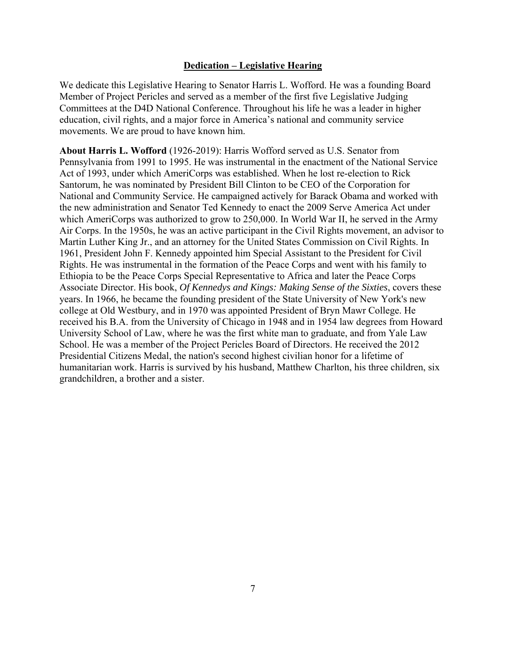#### **Dedication – Legislative Hearing**

We dedicate this Legislative Hearing to Senator Harris L. Wofford. He was a founding Board Member of Project Pericles and served as a member of the first five Legislative Judging Committees at the D4D National Conference. Throughout his life he was a leader in higher education, civil rights, and a major force in America's national and community service movements. We are proud to have known him.

**About Harris L. Wofford** (1926-2019): Harris Wofford served as U.S. Senator from Pennsylvania from 1991 to 1995. He was instrumental in the enactment of the National Service Act of 1993, under which AmeriCorps was established. When he lost re-election to Rick Santorum, he was nominated by President Bill Clinton to be CEO of the Corporation for National and Community Service. He campaigned actively for Barack Obama and worked with the new administration and Senator Ted Kennedy to enact the 2009 Serve America Act under which AmeriCorps was authorized to grow to 250,000. In World War II, he served in the Army Air Corps. In the 1950s, he was an active participant in the Civil Rights movement, an advisor to Martin Luther King Jr., and an attorney for the United States Commission on Civil Rights. In 1961, President John F. Kennedy appointed him Special Assistant to the President for Civil Rights. He was instrumental in the formation of the Peace Corps and went with his family to Ethiopia to be the Peace Corps Special Representative to Africa and later the Peace Corps Associate Director. His book, *Of Kennedys and Kings: Making Sense of the Sixties*, covers these years. In 1966, he became the founding president of the State University of New York's new college at Old Westbury, and in 1970 was appointed President of Bryn Mawr College. He received his B.A. from the University of Chicago in 1948 and in 1954 law degrees from Howard University School of Law, where he was the first white man to graduate, and from Yale Law School. He was a member of the Project Pericles Board of Directors. He received the 2012 Presidential Citizens Medal, the nation's second highest civilian honor for a lifetime of humanitarian work. Harris is survived by his husband, Matthew Charlton, his three children, six grandchildren, a brother and a sister.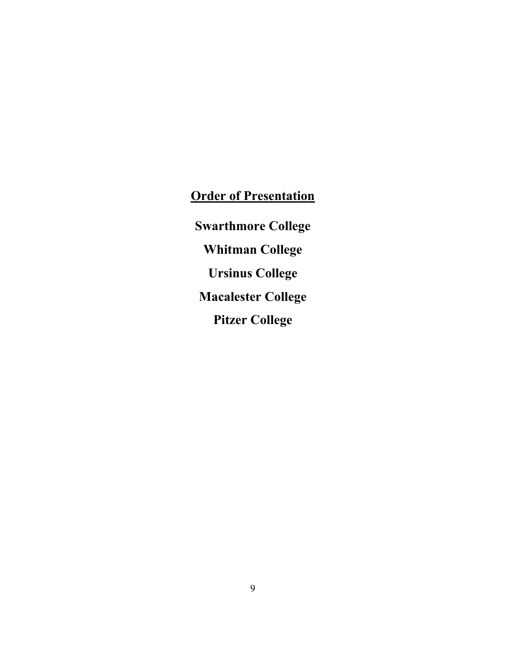# **Order of Presentation**

**Swarthmore College Whitman College Ursinus College Macalester College Pitzer College**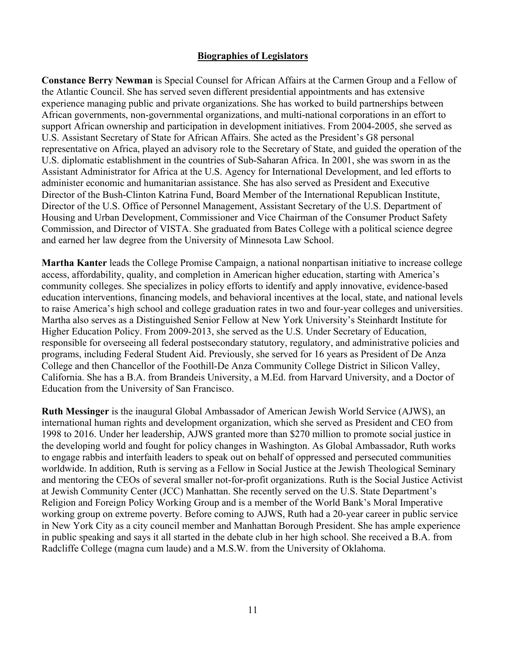#### **Biographies of Legislators**

**Constance Berry Newman** is Special Counsel for African Affairs at the Carmen Group and a Fellow of the Atlantic Council. She has served seven different presidential appointments and has extensive experience managing public and private organizations. She has worked to build partnerships between African governments, non-governmental organizations, and multi-national corporations in an effort to support African ownership and participation in development initiatives. From 2004-2005, she served as U.S. Assistant Secretary of State for African Affairs. She acted as the President's G8 personal representative on Africa, played an advisory role to the Secretary of State, and guided the operation of the U.S. diplomatic establishment in the countries of Sub-Saharan Africa. In 2001, she was sworn in as the Assistant Administrator for Africa at the U.S. Agency for International Development, and led efforts to administer economic and humanitarian assistance. She has also served as President and Executive Director of the Bush-Clinton Katrina Fund, Board Member of the International Republican Institute, Director of the U.S. Office of Personnel Management, Assistant Secretary of the U.S. Department of Housing and Urban Development, Commissioner and Vice Chairman of the Consumer Product Safety Commission, and Director of VISTA. She graduated from Bates College with a political science degree and earned her law degree from the University of Minnesota Law School.

**Martha Kanter** leads the College Promise Campaign, a national nonpartisan initiative to increase college access, affordability, quality, and completion in American higher education, starting with America's community colleges. She specializes in policy efforts to identify and apply innovative, evidence-based education interventions, financing models, and behavioral incentives at the local, state, and national levels to raise America's high school and college graduation rates in two and four-year colleges and universities. Martha also serves as a Distinguished Senior Fellow at New York University's Steinhardt Institute for Higher Education Policy. From 2009-2013, she served as the U.S. Under Secretary of Education, responsible for overseeing all federal postsecondary statutory, regulatory, and administrative policies and programs, including Federal Student Aid. Previously, she served for 16 years as President of De Anza College and then Chancellor of the Foothill-De Anza Community College District in Silicon Valley, California. She has a B.A. from Brandeis University, a M.Ed. from Harvard University, and a Doctor of Education from the University of San Francisco.

**Ruth Messinger** is the inaugural Global Ambassador of American Jewish World Service (AJWS), an international human rights and development organization, which she served as President and CEO from 1998 to 2016. Under her leadership, AJWS granted more than \$270 million to promote social justice in the developing world and fought for policy changes in Washington. As Global Ambassador, Ruth works to engage rabbis and interfaith leaders to speak out on behalf of oppressed and persecuted communities worldwide. In addition, Ruth is serving as a Fellow in Social Justice at the Jewish Theological Seminary and mentoring the CEOs of several smaller not-for-profit organizations. Ruth is the Social Justice Activist at Jewish Community Center (JCC) Manhattan. She recently served on the U.S. State Department's Religion and Foreign Policy Working Group and is a member of the World Bank's Moral Imperative working group on extreme poverty. Before coming to AJWS, Ruth had a 20-year career in public service in New York City as a city council member and Manhattan Borough President. She has ample experience in public speaking and says it all started in the debate club in her high school. She received a B.A. from Radcliffe College (magna cum laude) and a M.S.W. from the University of Oklahoma.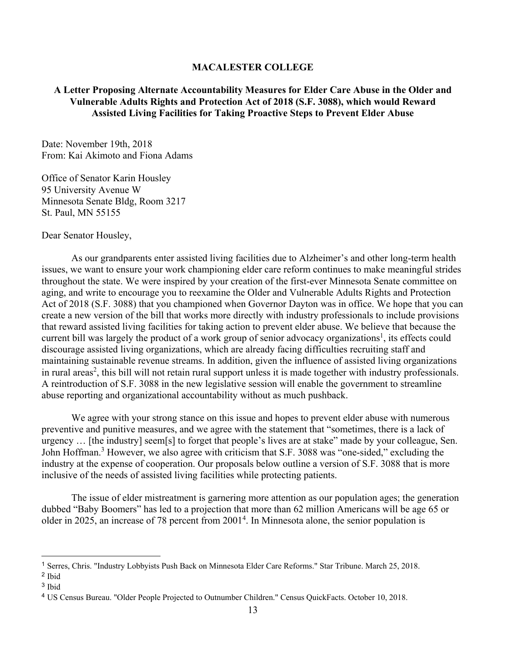#### **MACALESTER COLLEGE**

#### **A Letter Proposing Alternate Accountability Measures for Elder Care Abuse in the Older and Vulnerable Adults Rights and Protection Act of 2018 (S.F. 3088), which would Reward Assisted Living Facilities for Taking Proactive Steps to Prevent Elder Abuse**

Date: November 19th, 2018 From: Kai Akimoto and Fiona Adams

Office of Senator Karin Housley 95 University Avenue W Minnesota Senate Bldg, Room 3217 St. Paul, MN 55155

Dear Senator Housley,

As our grandparents enter assisted living facilities due to Alzheimer's and other long-term health issues, we want to ensure your work championing elder care reform continues to make meaningful strides throughout the state. We were inspired by your creation of the first-ever Minnesota Senate committee on aging, and write to encourage you to reexamine the Older and Vulnerable Adults Rights and Protection Act of 2018 (S.F. 3088) that you championed when Governor Dayton was in office. We hope that you can create a new version of the bill that works more directly with industry professionals to include provisions that reward assisted living facilities for taking action to prevent elder abuse. We believe that because the current bill was largely the product of a work group of senior advocacy organizations<sup>1</sup>, its effects could discourage assisted living organizations, which are already facing difficulties recruiting staff and maintaining sustainable revenue streams. In addition, given the influence of assisted living organizations in rural areas<sup>2</sup>, this bill will not retain rural support unless it is made together with industry professionals. A reintroduction of S.F. 3088 in the new legislative session will enable the government to streamline abuse reporting and organizational accountability without as much pushback.

We agree with your strong stance on this issue and hopes to prevent elder abuse with numerous preventive and punitive measures, and we agree with the statement that "sometimes, there is a lack of urgency … [the industry] seem[s] to forget that people's lives are at stake" made by your colleague, Sen. John Hoffman.<sup>3</sup> However, we also agree with criticism that S.F. 3088 was "one-sided," excluding the industry at the expense of cooperation. Our proposals below outline a version of S.F. 3088 that is more inclusive of the needs of assisted living facilities while protecting patients.

The issue of elder mistreatment is garnering more attention as our population ages; the generation dubbed "Baby Boomers" has led to a projection that more than 62 million Americans will be age 65 or older in 2025, an increase of 78 percent from 2001<sup>4</sup>. In Minnesota alone, the senior population is

 $\overline{a}$ 

<sup>1</sup> Serres, Chris. "Industry Lobbyists Push Back on Minnesota Elder Care Reforms." Star Tribune. March 25, 2018. <sup>2</sup> Ibid

<sup>3</sup> Ibid

<sup>4</sup> US Census Bureau. "Older People Projected to Outnumber Children." Census QuickFacts. October 10, 2018.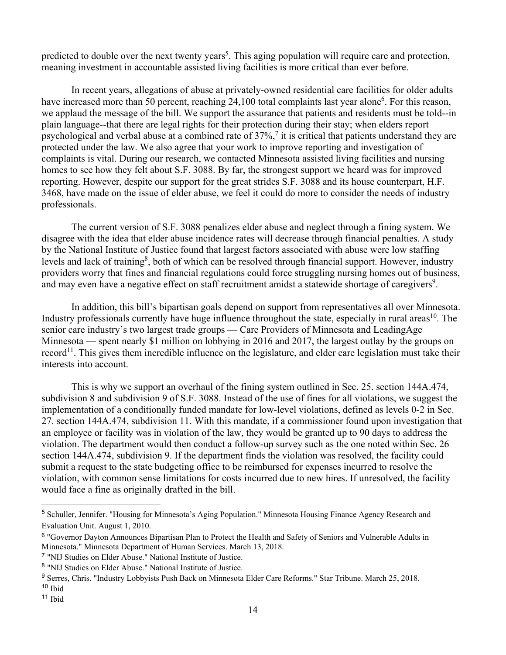predicted to double over the next twenty years<sup>5</sup>. This aging population will require care and protection, meaning investment in accountable assisted living facilities is more critical than ever before.

In recent years, allegations of abuse at privately-owned residential care facilities for older adults have increased more than 50 percent, reaching 24,100 total complaints last year alone<sup>6</sup>. For this reason, we applaud the message of the bill. We support the assurance that patients and residents must be told--in plain language--that there are legal rights for their protection during their stay; when elders report psychological and verbal abuse at a combined rate of  $37\%,^7$  it is critical that patients understand they are protected under the law. We also agree that your work to improve reporting and investigation of complaints is vital. During our research, we contacted Minnesota assisted living facilities and nursing homes to see how they felt about S.F. 3088. By far, the strongest support we heard was for improved reporting. However, despite our support for the great strides S.F. 3088 and its house counterpart, H.F. 3468, have made on the issue of elder abuse, we feel it could do more to consider the needs of industry professionals.

The current version of S.F. 3088 penalizes elder abuse and neglect through a fining system. We disagree with the idea that elder abuse incidence rates will decrease through financial penalties. A study by the National Institute of Justice found that largest factors associated with abuse were low staffing levels and lack of training<sup>8</sup>, both of which can be resolved through financial support. However, industry providers worry that fines and financial regulations could force struggling nursing homes out of business, and may even have a negative effect on staff recruitment amidst a statewide shortage of caregivers<sup>9</sup>.

In addition, this bill's bipartisan goals depend on support from representatives all over Minnesota. Industry professionals currently have huge influence throughout the state, especially in rural areas<sup>10</sup>. The senior care industry's two largest trade groups — Care Providers of Minnesota and LeadingAge Minnesota — spent nearly \$1 million on lobbying in 2016 and 2017, the largest outlay by the groups on record<sup>11</sup>. This gives them incredible influence on the legislature, and elder care legislation must take their interests into account.

This is why we support an overhaul of the fining system outlined in Sec. 25. section 144A.474, subdivision 8 and subdivision 9 of S.F. 3088. Instead of the use of fines for all violations, we suggest the implementation of a conditionally funded mandate for low-level violations, defined as levels 0-2 in Sec. 27. section 144A.474, subdivision 11. With this mandate, if a commissioner found upon investigation that an employee or facility was in violation of the law, they would be granted up to 90 days to address the violation. The department would then conduct a follow-up survey such as the one noted within Sec. 26 section 144A.474, subdivision 9. If the department finds the violation was resolved, the facility could submit a request to the state budgeting office to be reimbursed for expenses incurred to resolve the violation, with common sense limitations for costs incurred due to new hires. If unresolved, the facility would face a fine as originally drafted in the bill.

 $\overline{a}$ 

<sup>5</sup> Schuller, Jennifer. "Housing for Minnesota's Aging Population." Minnesota Housing Finance Agency Research and Evaluation Unit. August 1, 2010.

<sup>6</sup> "Governor Dayton Announces Bipartisan Plan to Protect the Health and Safety of Seniors and Vulnerable Adults in Minnesota." Minnesota Department of Human Services. March 13, 2018.

<sup>7</sup> "NIJ Studies on Elder Abuse." National Institute of Justice.

<sup>8</sup> "NIJ Studies on Elder Abuse." National Institute of Justice.

<sup>9</sup> Serres, Chris. "Industry Lobbyists Push Back on Minnesota Elder Care Reforms." Star Tribune. March 25, 2018. <sup>10</sup> Ibid

<sup>11</sup> Ibid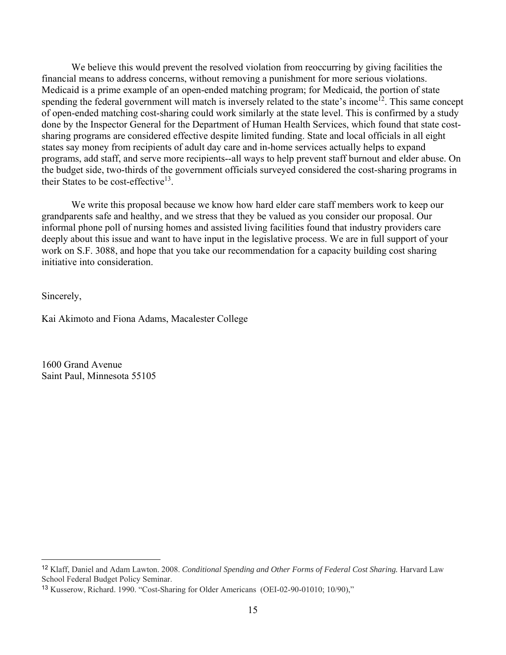We believe this would prevent the resolved violation from reoccurring by giving facilities the financial means to address concerns, without removing a punishment for more serious violations. Medicaid is a prime example of an open-ended matching program; for Medicaid, the portion of state spending the federal government will match is inversely related to the state's income<sup>12</sup>. This same concept of open-ended matching cost-sharing could work similarly at the state level. This is confirmed by a study done by the Inspector General for the Department of Human Health Services, which found that state costsharing programs are considered effective despite limited funding. State and local officials in all eight states say money from recipients of adult day care and in-home services actually helps to expand programs, add staff, and serve more recipients--all ways to help prevent staff burnout and elder abuse. On the budget side, two-thirds of the government officials surveyed considered the cost-sharing programs in their States to be cost-effective<sup>13</sup>.

We write this proposal because we know how hard elder care staff members work to keep our grandparents safe and healthy, and we stress that they be valued as you consider our proposal. Our informal phone poll of nursing homes and assisted living facilities found that industry providers care deeply about this issue and want to have input in the legislative process. We are in full support of your work on S.F. 3088, and hope that you take our recommendation for a capacity building cost sharing initiative into consideration.

Sincerely,

 $\overline{a}$ 

Kai Akimoto and Fiona Adams, Macalester College

1600 Grand Avenue Saint Paul, Minnesota 55105

<sup>12</sup> Klaff, Daniel and Adam Lawton. 2008. *Conditional Spending and Other Forms of Federal Cost Sharing.* Harvard Law School Federal Budget Policy Seminar.

<sup>13</sup> Kusserow, Richard. 1990. "Cost-Sharing for Older Americans (OEI-02-90-01010; 10/90),"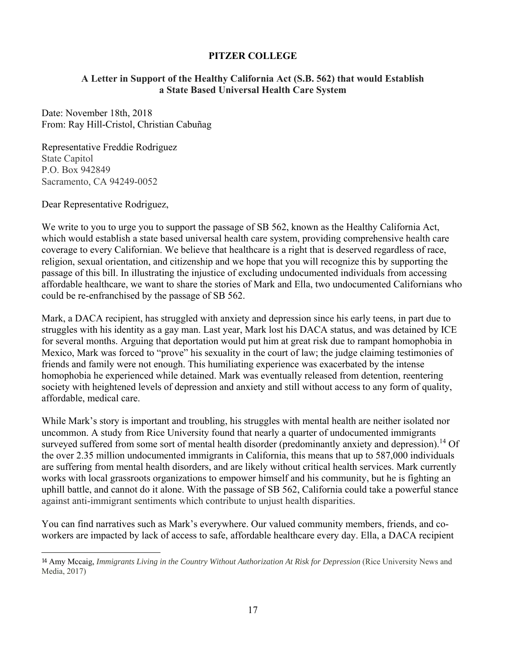## **PITZER COLLEGE**

# **A Letter in Support of the Healthy California Act (S.B. 562) that would Establish a State Based Universal Health Care System**

Date: November 18th, 2018 From: Ray Hill-Cristol, Christian Cabuñag

Representative Freddie Rodriguez State Capitol P.O. Box 942849 Sacramento, CA 94249-0052

Dear Representative Rodriguez,

 $\overline{a}$ 

We write to you to urge you to support the passage of SB 562, known as the Healthy California Act, which would establish a state based universal health care system, providing comprehensive health care coverage to every Californian. We believe that healthcare is a right that is deserved regardless of race, religion, sexual orientation, and citizenship and we hope that you will recognize this by supporting the passage of this bill. In illustrating the injustice of excluding undocumented individuals from accessing affordable healthcare, we want to share the stories of Mark and Ella, two undocumented Californians who could be re-enfranchised by the passage of SB 562.

Mark, a DACA recipient, has struggled with anxiety and depression since his early teens, in part due to struggles with his identity as a gay man. Last year, Mark lost his DACA status, and was detained by ICE for several months. Arguing that deportation would put him at great risk due to rampant homophobia in Mexico, Mark was forced to "prove" his sexuality in the court of law; the judge claiming testimonies of friends and family were not enough. This humiliating experience was exacerbated by the intense homophobia he experienced while detained. Mark was eventually released from detention, reentering society with heightened levels of depression and anxiety and still without access to any form of quality, affordable, medical care.

While Mark's story is important and troubling, his struggles with mental health are neither isolated nor uncommon. A study from Rice University found that nearly a quarter of undocumented immigrants surveyed suffered from some sort of mental health disorder (predominantly anxiety and depression).<sup>14</sup> Of the over 2.35 million undocumented immigrants in California, this means that up to 587,000 individuals are suffering from mental health disorders, and are likely without critical health services. Mark currently works with local grassroots organizations to empower himself and his community, but he is fighting an uphill battle, and cannot do it alone. With the passage of SB 562, California could take a powerful stance against anti-immigrant sentiments which contribute to unjust health disparities.

You can find narratives such as Mark's everywhere. Our valued community members, friends, and coworkers are impacted by lack of access to safe, affordable healthcare every day. Ella, a DACA recipient

<sup>14</sup> Amy Mccaig, *Immigrants Living in the Country Without Authorization At Risk for Depression* (Rice University News and Media, 2017)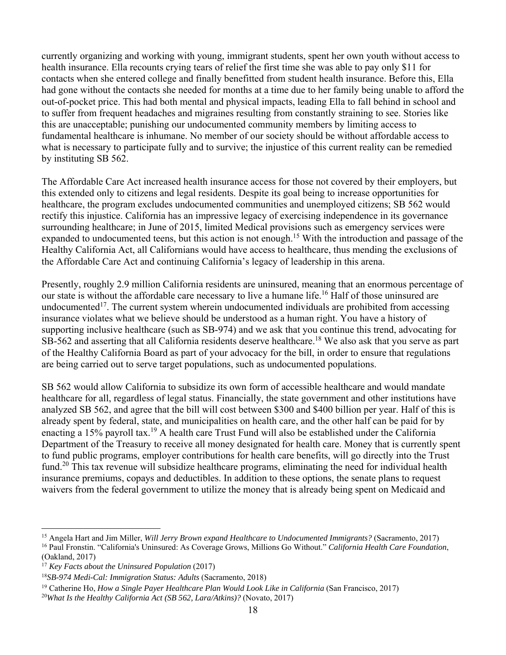currently organizing and working with young, immigrant students, spent her own youth without access to health insurance. Ella recounts crying tears of relief the first time she was able to pay only \$11 for contacts when she entered college and finally benefitted from student health insurance. Before this, Ella had gone without the contacts she needed for months at a time due to her family being unable to afford the out-of-pocket price. This had both mental and physical impacts, leading Ella to fall behind in school and to suffer from frequent headaches and migraines resulting from constantly straining to see. Stories like this are unacceptable; punishing our undocumented community members by limiting access to fundamental healthcare is inhumane. No member of our society should be without affordable access to what is necessary to participate fully and to survive; the injustice of this current reality can be remedied by instituting SB 562.

The Affordable Care Act increased health insurance access for those not covered by their employers, but this extended only to citizens and legal residents. Despite its goal being to increase opportunities for healthcare, the program excludes undocumented communities and unemployed citizens; SB 562 would rectify this injustice. California has an impressive legacy of exercising independence in its governance surrounding healthcare; in June of 2015, limited Medical provisions such as emergency services were expanded to undocumented teens, but this action is not enough.<sup>15</sup> With the introduction and passage of the Healthy California Act, all Californians would have access to healthcare, thus mending the exclusions of the Affordable Care Act and continuing California's legacy of leadership in this arena.

Presently, roughly 2.9 million California residents are uninsured, meaning that an enormous percentage of our state is without the affordable care necessary to live a humane life.<sup>16</sup> Half of those uninsured are undocumented<sup>17</sup>. The current system wherein undocumented individuals are prohibited from accessing insurance violates what we believe should be understood as a human right. You have a history of supporting inclusive healthcare (such as SB-974) and we ask that you continue this trend, advocating for SB-562 and asserting that all California residents deserve healthcare.<sup>18</sup> We also ask that you serve as part of the Healthy California Board as part of your advocacy for the bill, in order to ensure that regulations are being carried out to serve target populations, such as undocumented populations.

SB 562 would allow California to subsidize its own form of accessible healthcare and would mandate healthcare for all, regardless of legal status. Financially, the state government and other institutions have analyzed SB 562, and agree that the bill will cost between \$300 and \$400 billion per year. Half of this is already spent by federal, state, and municipalities on health care, and the other half can be paid for by enacting a 15% payroll tax.<sup>19</sup> A health care Trust Fund will also be established under the California Department of the Treasury to receive all money designated for health care. Money that is currently spent to fund public programs, employer contributions for health care benefits, will go directly into the Trust fund.<sup>20</sup> This tax revenue will subsidize healthcare programs, eliminating the need for individual health insurance premiums, copays and deductibles. In addition to these options, the senate plans to request waivers from the federal government to utilize the money that is already being spent on Medicaid and

 $\overline{a}$ 

<sup>15</sup> Angela Hart and Jim Miller, *Will Jerry Brown expand Healthcare to Undocumented Immigrants?* (Sacramento, 2017) 16 Paul Fronstin. "California's Uninsured: As Coverage Grows, Millions Go Without." *California Health Care Foundation*,

<sup>(</sup>Oakland, 2017)

<sup>&</sup>lt;sup>17</sup> Key Facts about the Uninsured Population (2017)

<sup>18</sup>*SB-974 Medi-Cal: Immigration Status: Adults* (Sacramento, 2018)

<sup>&</sup>lt;sup>19</sup> Catherine Ho, *How a Single Payer Healthcare Plan Would Look Like in California* (San Francisco, 2017)

<sup>20</sup>*What Is the Healthy California Act (SB 562, Lara/Atkins)?* (Novato, 2017)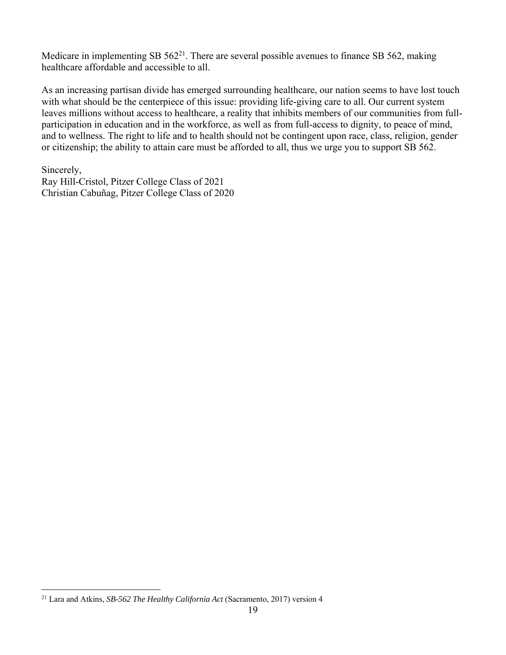Medicare in implementing SB  $562^{21}$ . There are several possible avenues to finance SB 562, making healthcare affordable and accessible to all.

As an increasing partisan divide has emerged surrounding healthcare, our nation seems to have lost touch with what should be the centerpiece of this issue: providing life-giving care to all. Our current system leaves millions without access to healthcare, a reality that inhibits members of our communities from fullparticipation in education and in the workforce, as well as from full-access to dignity, to peace of mind, and to wellness. The right to life and to health should not be contingent upon race, class, religion, gender or citizenship; the ability to attain care must be afforded to all, thus we urge you to support SB 562.

Sincerely, Ray Hill-Cristol, Pitzer College Class of 2021 Christian Cabuñag, Pitzer College Class of 2020

 $\overline{a}$ 

<sup>21</sup> Lara and Atkins, *SB-562 The Healthy California Act* (Sacramento, 2017) version 4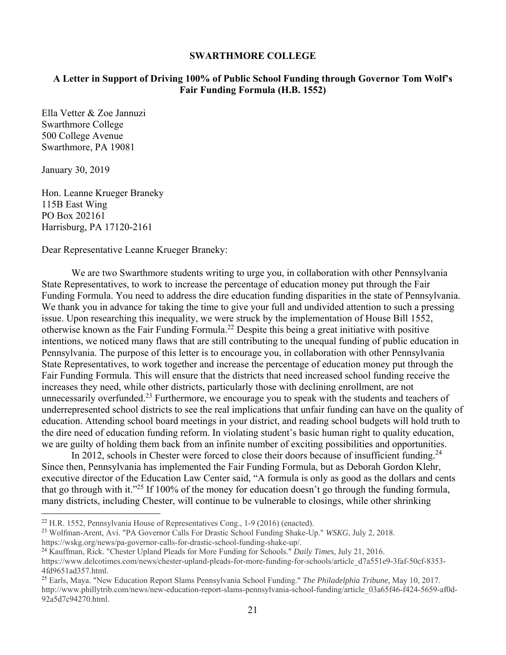#### **SWARTHMORE COLLEGE**

#### **A Letter in Support of Driving 100% of Public School Funding through Governor Tom Wolf's Fair Funding Formula (H.B. 1552)**

Ella Vetter & Zoe Jannuzi Swarthmore College 500 College Avenue Swarthmore, PA 19081

January 30, 2019

 $\overline{a}$ 

Hon. Leanne Krueger Braneky 115B East Wing PO Box 202161 Harrisburg, PA 17120-2161

Dear Representative Leanne Krueger Braneky:

We are two Swarthmore students writing to urge you, in collaboration with other Pennsylvania State Representatives, to work to increase the percentage of education money put through the Fair Funding Formula. You need to address the dire education funding disparities in the state of Pennsylvania. We thank you in advance for taking the time to give your full and undivided attention to such a pressing issue. Upon researching this inequality, we were struck by the implementation of House Bill 1552, otherwise known as the Fair Funding Formula.22 Despite this being a great initiative with positive intentions, we noticed many flaws that are still contributing to the unequal funding of public education in Pennsylvania. The purpose of this letter is to encourage you, in collaboration with other Pennsylvania State Representatives, to work together and increase the percentage of education money put through the Fair Funding Formula. This will ensure that the districts that need increased school funding receive the increases they need, while other districts, particularly those with declining enrollment, are not unnecessarily overfunded.<sup>23</sup> Furthermore, we encourage you to speak with the students and teachers of underrepresented school districts to see the real implications that unfair funding can have on the quality of education. Attending school board meetings in your district, and reading school budgets will hold truth to the dire need of education funding reform. In violating student's basic human right to quality education, we are guilty of holding them back from an infinite number of exciting possibilities and opportunities.

In 2012, schools in Chester were forced to close their doors because of insufficient funding.<sup>24</sup> Since then, Pennsylvania has implemented the Fair Funding Formula, but as Deborah Gordon Klehr, executive director of the Education Law Center said, "A formula is only as good as the dollars and cents that go through with it."<sup>25</sup> If 100% of the money for education doesn't go through the funding formula, many districts, including Chester, will continue to be vulnerable to closings, while other shrinking

<sup>22</sup> H.R. 1552, Pennsylvania House of Representatives Cong., 1-9 (2016) (enacted).

<sup>23</sup> Wolfman-Arent, Avi. "PA Governor Calls For Drastic School Funding Shake-Up." *WSKG*, July 2, 2018. https://wskg.org/news/pa-governor-calls-for-drastic-school-funding-shake-up/.

<sup>24</sup> Kauffman, Rick. "Chester Upland Pleads for More Funding for Schools." *Daily Times*, July 21, 2016.

https://www.delcotimes.com/news/chester-upland-pleads-for-more-funding-for-schools/article\_d7a551e9-3faf-50cf-8353- 4fd9651ad357.html.

<sup>25</sup> Earls, Maya. "New Education Report Slams Pennsylvania School Funding." *The Philadelphia Tribune*, May 10, 2017. http://www.phillytrib.com/news/new-education-report-slams-pennsylvania-school-funding/article\_03a65f46-f424-5659-af0d-92a5d7c94270.html.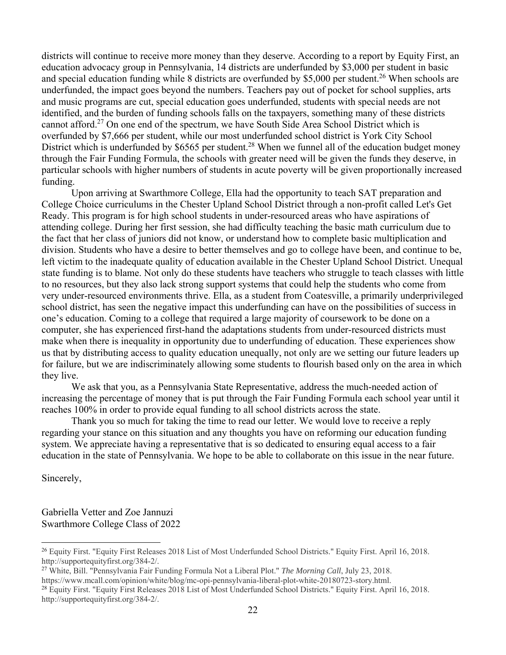districts will continue to receive more money than they deserve. According to a report by Equity First, an education advocacy group in Pennsylvania, 14 districts are underfunded by \$3,000 per student in basic and special education funding while 8 districts are overfunded by \$5,000 per student.<sup>26</sup> When schools are underfunded, the impact goes beyond the numbers. Teachers pay out of pocket for school supplies, arts and music programs are cut, special education goes underfunded, students with special needs are not identified, and the burden of funding schools falls on the taxpayers, something many of these districts cannot afford.27 On one end of the spectrum, we have South Side Area School District which is overfunded by \$7,666 per student, while our most underfunded school district is York City School District which is underfunded by \$6565 per student.<sup>28</sup> When we funnel all of the education budget money through the Fair Funding Formula, the schools with greater need will be given the funds they deserve, in particular schools with higher numbers of students in acute poverty will be given proportionally increased funding.

 Upon arriving at Swarthmore College, Ella had the opportunity to teach SAT preparation and College Choice curriculums in the Chester Upland School District through a non-profit called Let's Get Ready. This program is for high school students in under-resourced areas who have aspirations of attending college. During her first session, she had difficulty teaching the basic math curriculum due to the fact that her class of juniors did not know, or understand how to complete basic multiplication and division. Students who have a desire to better themselves and go to college have been, and continue to be, left victim to the inadequate quality of education available in the Chester Upland School District. Unequal state funding is to blame. Not only do these students have teachers who struggle to teach classes with little to no resources, but they also lack strong support systems that could help the students who come from very under-resourced environments thrive. Ella, as a student from Coatesville, a primarily underprivileged school district, has seen the negative impact this underfunding can have on the possibilities of success in one's education. Coming to a college that required a large majority of coursework to be done on a computer, she has experienced first-hand the adaptations students from under-resourced districts must make when there is inequality in opportunity due to underfunding of education. These experiences show us that by distributing access to quality education unequally, not only are we setting our future leaders up for failure, but we are indiscriminately allowing some students to flourish based only on the area in which they live.

We ask that you, as a Pennsylvania State Representative, address the much-needed action of increasing the percentage of money that is put through the Fair Funding Formula each school year until it reaches 100% in order to provide equal funding to all school districts across the state.

Thank you so much for taking the time to read our letter. We would love to receive a reply regarding your stance on this situation and any thoughts you have on reforming our education funding system. We appreciate having a representative that is so dedicated to ensuring equal access to a fair education in the state of Pennsylvania. We hope to be able to collaborate on this issue in the near future.

Sincerely,

 $\overline{a}$ 

Gabriella Vetter and Zoe Jannuzi Swarthmore College Class of 2022

https://www.mcall.com/opinion/white/blog/mc-opi-pennsylvania-liberal-plot-white-20180723-story.html.

<sup>&</sup>lt;sup>26</sup> Equity First. "Equity First Releases 2018 List of Most Underfunded School Districts." Equity First. April 16, 2018. http://supportequityfirst.org/384-2/.

<sup>27</sup> White, Bill. "Pennsylvania Fair Funding Formula Not a Liberal Plot." *The Morning Call*, July 23, 2018.

<sup>&</sup>lt;sup>28</sup> Equity First. "Equity First Releases 2018 List of Most Underfunded School Districts." Equity First. April 16, 2018. http://supportequityfirst.org/384-2/.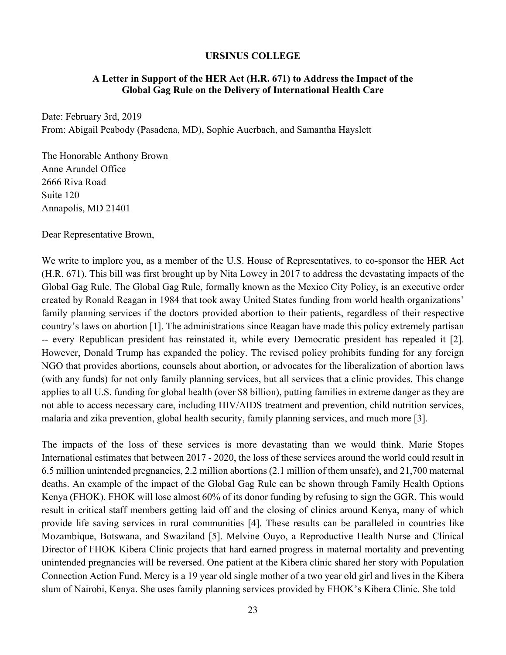#### **URSINUS COLLEGE**

#### **A Letter in Support of the HER Act (H.R. 671) to Address the Impact of the Global Gag Rule on the Delivery of International Health Care**

Date: February 3rd, 2019 From: Abigail Peabody (Pasadena, MD), Sophie Auerbach, and Samantha Hayslett

The Honorable Anthony Brown Anne Arundel Office 2666 Riva Road Suite 120 Annapolis, MD 21401

Dear Representative Brown,

We write to implore you, as a member of the U.S. House of Representatives, to co-sponsor the HER Act (H.R. 671). This bill was first brought up by Nita Lowey in 2017 to address the devastating impacts of the Global Gag Rule. The Global Gag Rule, formally known as the Mexico City Policy, is an executive order created by Ronald Reagan in 1984 that took away United States funding from world health organizations' family planning services if the doctors provided abortion to their patients, regardless of their respective country's laws on abortion [1]. The administrations since Reagan have made this policy extremely partisan -- every Republican president has reinstated it, while every Democratic president has repealed it [2]. However, Donald Trump has expanded the policy. The revised policy prohibits funding for any foreign NGO that provides abortions, counsels about abortion, or advocates for the liberalization of abortion laws (with any funds) for not only family planning services, but all services that a clinic provides. This change applies to all U.S. funding for global health (over \$8 billion), putting families in extreme danger as they are not able to access necessary care, including HIV/AIDS treatment and prevention, child nutrition services, malaria and zika prevention, global health security, family planning services, and much more [3].

The impacts of the loss of these services is more devastating than we would think. Marie Stopes International estimates that between 2017 - 2020, the loss of these services around the world could result in 6.5 million unintended pregnancies, 2.2 million abortions (2.1 million of them unsafe), and 21,700 maternal deaths. An example of the impact of the Global Gag Rule can be shown through Family Health Options Kenya (FHOK). FHOK will lose almost 60% of its donor funding by refusing to sign the GGR. This would result in critical staff members getting laid off and the closing of clinics around Kenya, many of which provide life saving services in rural communities [4]. These results can be paralleled in countries like Mozambique, Botswana, and Swaziland [5]. Melvine Ouyo, a Reproductive Health Nurse and Clinical Director of FHOK Kibera Clinic projects that hard earned progress in maternal mortality and preventing unintended pregnancies will be reversed. One patient at the Kibera clinic shared her story with Population Connection Action Fund. Mercy is a 19 year old single mother of a two year old girl and lives in the Kibera slum of Nairobi, Kenya. She uses family planning services provided by FHOK's Kibera Clinic. She told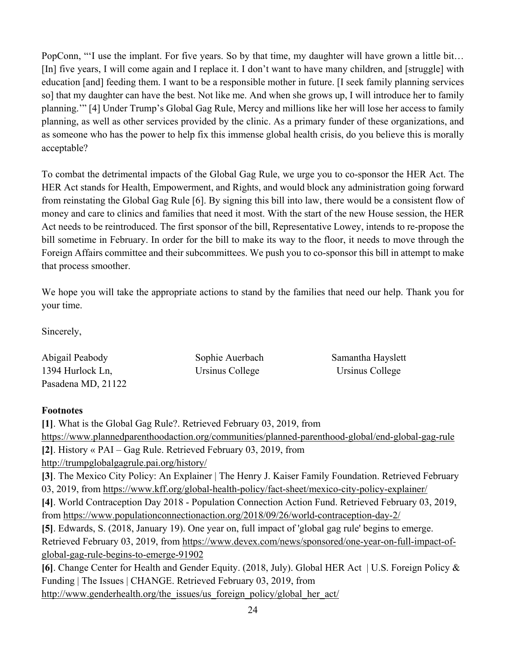PopConn, "'I use the implant. For five years. So by that time, my daughter will have grown a little bit… [In] five years, I will come again and I replace it. I don't want to have many children, and [struggle] with education [and] feeding them. I want to be a responsible mother in future. [I seek family planning services so] that my daughter can have the best. Not like me. And when she grows up, I will introduce her to family planning.'" [4] Under Trump's Global Gag Rule, Mercy and millions like her will lose her access to family planning, as well as other services provided by the clinic. As a primary funder of these organizations, and as someone who has the power to help fix this immense global health crisis, do you believe this is morally acceptable?

To combat the detrimental impacts of the Global Gag Rule, we urge you to co-sponsor the HER Act. The HER Act stands for Health, Empowerment, and Rights, and would block any administration going forward from reinstating the Global Gag Rule [6]. By signing this bill into law, there would be a consistent flow of money and care to clinics and families that need it most. With the start of the new House session, the HER Act needs to be reintroduced. The first sponsor of the bill, Representative Lowey, intends to re-propose the bill sometime in February. In order for the bill to make its way to the floor, it needs to move through the Foreign Affairs committee and their subcommittees. We push you to co-sponsor this bill in attempt to make that process smoother.

We hope you will take the appropriate actions to stand by the families that need our help. Thank you for your time.

Sincerely,

| Abigail Peabody    | Sophie Auerbach | Samantha Hayslett |
|--------------------|-----------------|-------------------|
| 1394 Hurlock Ln,   | Ursinus College | Ursinus College   |
| Pasadena MD, 21122 |                 |                   |

## **Footnotes**

**[1]**. What is the Global Gag Rule?. Retrieved February 03, 2019, from https://www.plannedparenthoodaction.org/communities/planned-parenthood-global/end-global-gag-rule **[2]**. History « PAI – Gag Rule. Retrieved February 03, 2019, from http://trumpglobalgagrule.pai.org/history/ **[3]**. The Mexico City Policy: An Explainer | The Henry J. Kaiser Family Foundation. Retrieved February 03, 2019, from https://www.kff.org/global-health-policy/fact-sheet/mexico-city-policy-explainer/ **[4]**. World Contraception Day 2018 - Population Connection Action Fund. Retrieved February 03, 2019, from https://www.populationconnectionaction.org/2018/09/26/world-contraception-day-2/ **[5]**. Edwards, S. (2018, January 19). One year on, full impact of 'global gag rule' begins to emerge. Retrieved February 03, 2019, from https://www.devex.com/news/sponsored/one-year-on-full-impact-ofglobal-gag-rule-begins-to-emerge-91902 **[6]**. Change Center for Health and Gender Equity. (2018, July). Global HER Act | U.S. Foreign Policy & Funding | The Issues | CHANGE. Retrieved February 03, 2019, from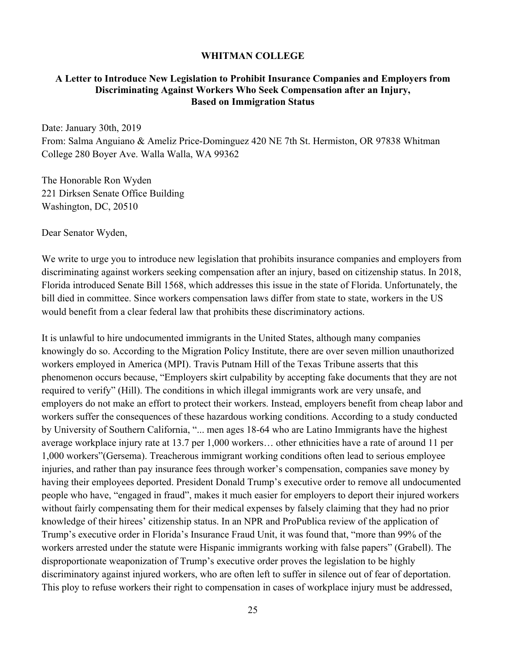#### **WHITMAN COLLEGE**

#### **A Letter to Introduce New Legislation to Prohibit Insurance Companies and Employers from Discriminating Against Workers Who Seek Compensation after an Injury, Based on Immigration Status**

Date: January 30th, 2019

From: Salma Anguiano & Ameliz Price-Dominguez 420 NE 7th St. Hermiston, OR 97838 Whitman College 280 Boyer Ave. Walla Walla, WA 99362

The Honorable Ron Wyden 221 Dirksen Senate Office Building Washington, DC, 20510

Dear Senator Wyden,

We write to urge you to introduce new legislation that prohibits insurance companies and employers from discriminating against workers seeking compensation after an injury, based on citizenship status. In 2018, Florida introduced Senate Bill 1568, which addresses this issue in the state of Florida. Unfortunately, the bill died in committee. Since workers compensation laws differ from state to state, workers in the US would benefit from a clear federal law that prohibits these discriminatory actions.

It is unlawful to hire undocumented immigrants in the United States, although many companies knowingly do so. According to the Migration Policy Institute, there are over seven million unauthorized workers employed in America (MPI). Travis Putnam Hill of the Texas Tribune asserts that this phenomenon occurs because, "Employers skirt culpability by accepting fake documents that they are not required to verify" (Hill). The conditions in which illegal immigrants work are very unsafe, and employers do not make an effort to protect their workers. Instead, employers benefit from cheap labor and workers suffer the consequences of these hazardous working conditions. According to a study conducted by University of Southern California, "... men ages 18-64 who are Latino Immigrants have the highest average workplace injury rate at 13.7 per 1,000 workers… other ethnicities have a rate of around 11 per 1,000 workers"(Gersema). Treacherous immigrant working conditions often lead to serious employee injuries, and rather than pay insurance fees through worker's compensation, companies save money by having their employees deported. President Donald Trump's executive order to remove all undocumented people who have, "engaged in fraud", makes it much easier for employers to deport their injured workers without fairly compensating them for their medical expenses by falsely claiming that they had no prior knowledge of their hirees' citizenship status. In an NPR and ProPublica review of the application of Trump's executive order in Florida's Insurance Fraud Unit, it was found that, "more than 99% of the workers arrested under the statute were Hispanic immigrants working with false papers" (Grabell). The disproportionate weaponization of Trump's executive order proves the legislation to be highly discriminatory against injured workers, who are often left to suffer in silence out of fear of deportation. This ploy to refuse workers their right to compensation in cases of workplace injury must be addressed,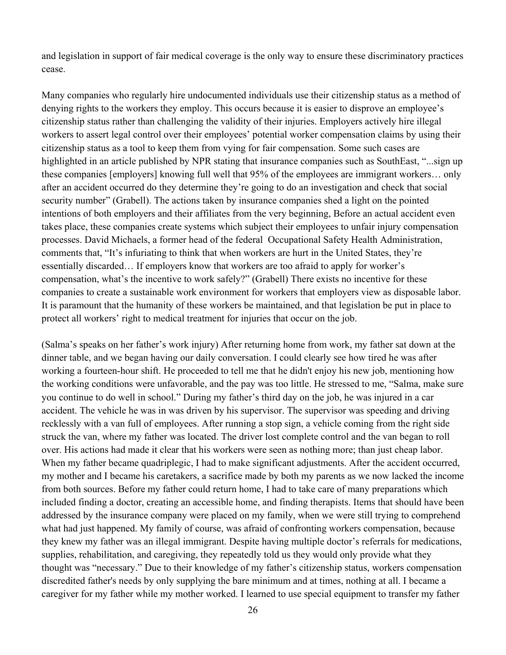and legislation in support of fair medical coverage is the only way to ensure these discriminatory practices cease.

Many companies who regularly hire undocumented individuals use their citizenship status as a method of denying rights to the workers they employ. This occurs because it is easier to disprove an employee's citizenship status rather than challenging the validity of their injuries. Employers actively hire illegal workers to assert legal control over their employees' potential worker compensation claims by using their citizenship status as a tool to keep them from vying for fair compensation. Some such cases are highlighted in an article published by NPR stating that insurance companies such as SouthEast, "...sign up these companies [employers] knowing full well that 95% of the employees are immigrant workers… only after an accident occurred do they determine they're going to do an investigation and check that social security number" (Grabell). The actions taken by insurance companies shed a light on the pointed intentions of both employers and their affiliates from the very beginning, Before an actual accident even takes place, these companies create systems which subject their employees to unfair injury compensation processes. David Michaels, a former head of the federal Occupational Safety Health Administration, comments that, "It's infuriating to think that when workers are hurt in the United States, they're essentially discarded… If employers know that workers are too afraid to apply for worker's compensation, what's the incentive to work safely?" (Grabell) There exists no incentive for these companies to create a sustainable work environment for workers that employers view as disposable labor. It is paramount that the humanity of these workers be maintained, and that legislation be put in place to protect all workers' right to medical treatment for injuries that occur on the job.

(Salma's speaks on her father's work injury) After returning home from work, my father sat down at the dinner table, and we began having our daily conversation. I could clearly see how tired he was after working a fourteen-hour shift. He proceeded to tell me that he didn't enjoy his new job, mentioning how the working conditions were unfavorable, and the pay was too little. He stressed to me, "Salma, make sure you continue to do well in school." During my father's third day on the job, he was injured in a car accident. The vehicle he was in was driven by his supervisor. The supervisor was speeding and driving recklessly with a van full of employees. After running a stop sign, a vehicle coming from the right side struck the van, where my father was located. The driver lost complete control and the van began to roll over. His actions had made it clear that his workers were seen as nothing more; than just cheap labor. When my father became quadriplegic, I had to make significant adjustments. After the accident occurred, my mother and I became his caretakers, a sacrifice made by both my parents as we now lacked the income from both sources. Before my father could return home, I had to take care of many preparations which included finding a doctor, creating an accessible home, and finding therapists. Items that should have been addressed by the insurance company were placed on my family, when we were still trying to comprehend what had just happened. My family of course, was afraid of confronting workers compensation, because they knew my father was an illegal immigrant. Despite having multiple doctor's referrals for medications, supplies, rehabilitation, and caregiving, they repeatedly told us they would only provide what they thought was "necessary." Due to their knowledge of my father's citizenship status, workers compensation discredited father's needs by only supplying the bare minimum and at times, nothing at all. I became a caregiver for my father while my mother worked. I learned to use special equipment to transfer my father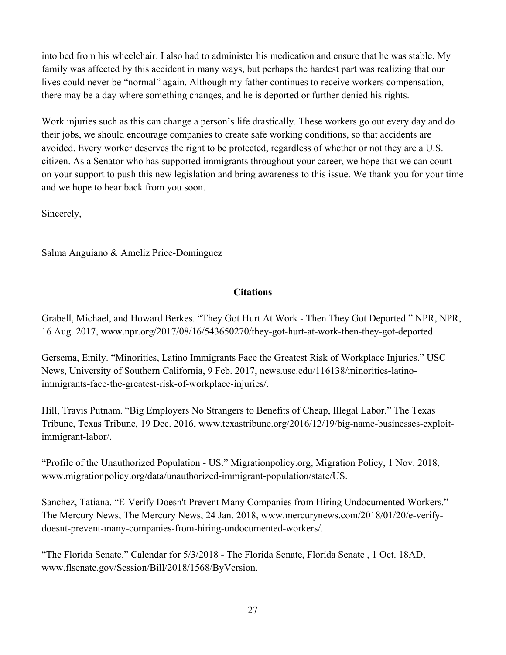into bed from his wheelchair. I also had to administer his medication and ensure that he was stable. My family was affected by this accident in many ways, but perhaps the hardest part was realizing that our lives could never be "normal" again. Although my father continues to receive workers compensation, there may be a day where something changes, and he is deported or further denied his rights.

Work injuries such as this can change a person's life drastically. These workers go out every day and do their jobs, we should encourage companies to create safe working conditions, so that accidents are avoided. Every worker deserves the right to be protected, regardless of whether or not they are a U.S. citizen. As a Senator who has supported immigrants throughout your career, we hope that we can count on your support to push this new legislation and bring awareness to this issue. We thank you for your time and we hope to hear back from you soon.

Sincerely,

Salma Anguiano & Ameliz Price-Dominguez

# **Citations**

Grabell, Michael, and Howard Berkes. "They Got Hurt At Work - Then They Got Deported." NPR, NPR, 16 Aug. 2017, www.npr.org/2017/08/16/543650270/they-got-hurt-at-work-then-they-got-deported.

Gersema, Emily. "Minorities, Latino Immigrants Face the Greatest Risk of Workplace Injuries." USC News, University of Southern California, 9 Feb. 2017, news.usc.edu/116138/minorities-latinoimmigrants-face-the-greatest-risk-of-workplace-injuries/.

Hill, Travis Putnam. "Big Employers No Strangers to Benefits of Cheap, Illegal Labor." The Texas Tribune, Texas Tribune, 19 Dec. 2016, www.texastribune.org/2016/12/19/big-name-businesses-exploitimmigrant-labor/.

"Profile of the Unauthorized Population - US." Migrationpolicy.org, Migration Policy, 1 Nov. 2018, www.migrationpolicy.org/data/unauthorized-immigrant-population/state/US.

Sanchez, Tatiana. "E-Verify Doesn't Prevent Many Companies from Hiring Undocumented Workers." The Mercury News, The Mercury News, 24 Jan. 2018, www.mercurynews.com/2018/01/20/e-verifydoesnt-prevent-many-companies-from-hiring-undocumented-workers/.

"The Florida Senate." Calendar for 5/3/2018 - The Florida Senate, Florida Senate , 1 Oct. 18AD, www.flsenate.gov/Session/Bill/2018/1568/ByVersion.